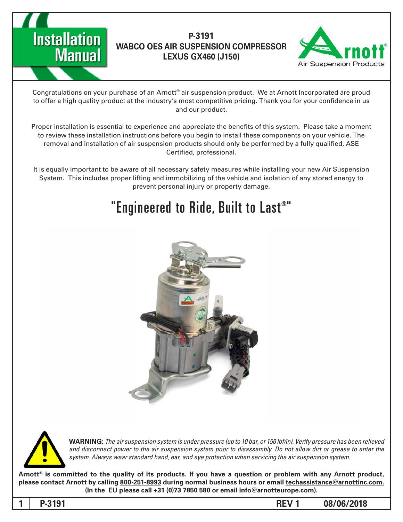



Congratulations on your purchase of an Arnott® air suspension product. We at Arnott Incorporated are proud to offer a high quality product at the industry's most competitive pricing. Thank you for your confidence in us and our product.

Proper installation is essential to experience and appreciate the benefits of this system. Please take a moment to review these installation instructions before you begin to install these components on your vehicle. The removal and installation of air suspension products should only be performed by a fully qualified, ASE Certified, professional.

It is equally important to be aware of all necessary safety measures while installing your new Air Suspension System. This includes proper lifting and immobilizing of the vehicle and isolation of any stored energy to prevent personal injury or property damage.

# "Engineered to Ride, Built to Last®"





*WARNING: The air suspension system is under pressure (up to 10 bar, or 150 lbf/in). Verify pressure has been relieved* and disconnect power to the air suspension system prior to disassembly. Do not allow dirt or grease to enter the system. Always wear standard hand, ear, and eye protection when servicing the air suspension system.

Arnott<sup>®</sup> is committed to the quality of its products. If you have a question or problem with any Arnott product, please contact Arnott by calling 800-251-8993 during normal business hours or email techassistance@arnottinc.com. (In the EU please call +31 (0)73 7850 580 or email info@arnotteurope.com).

**08/06/2018 -12191 -2191 -2191 -2191 -2191 -2191 -2191 -2191 -2191 -2191 -2191 -2191 -2191 -2191 -2191 -2191 -2191 -2191 -2191 -2191 -2191 -2191 -2191 -2191 -2191 -2191**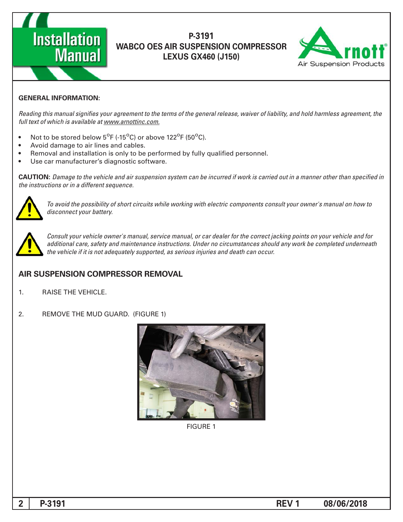



#### **GENERAL INFORMATION:**

Reading this manual signifies your agreement to the terms of the general release, waiver of liability, and hold harmless agreement, the full text of which is available at www.arnottinc.com.

- Not to be stored below 5<sup>o</sup>F (-15<sup>o</sup>C) or above 122<sup>o</sup>F (50<sup>o</sup>C).
- Avoid damage to air lines and cables.
- Removal and installation is only to be performed by fully qualified personnel.
- Use car manufacturer's diagnostic software.

 *in specified than other manner a in out carried is work if incurred be can system suspension air and vehicle the to Damage* **:CAUTION** *the instructions or in a different sequence.* 



 *to how on manual s'owner your consult components electric with working while circuits short of possibility the avoid To*  $disconnect$  your battery.



*Consult your vehicle owner's manual, service manual, or car dealer for the correct jacking points on your vehicle and for* additional care, safety and maintenance instructions. Under no circumstances should any work be completed underneath the vehicle if it is not adequately supported, as serious injuries and death can occur.

#### **AIR SUSPENSION COMPRESSOR REMOVAL**

- 1. RAISE THE VEHICLE.
- 2. REMOVE THE MUD GUARD. (FIGURE 1)



**FIGURE 1** 

**1 P**-3191 **P**-3191 **P 1 C P 2 P REV 1 BEV 1 08/06/2018**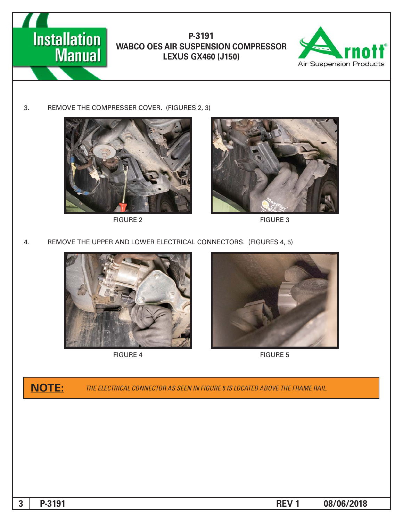



3. REMOVE THE COMPRESSER COVER. (FIGURES 2, 3)



2 FIGURE



**FIGURE 3** 

4. REMOVE THE UPPER AND LOWER ELECTRICAL CONNECTORS. (FIGURES 4, 5)



**FIGURE 4** 



**FIGURE 5** 

**ROTE:** THE ELECTRICAL CONNECTOR AS SEEN IN FIGURE 5 IS LOCATED ABOVE THE FRAME RAIL.

**1 08/06/2018 -3191 -41.12 <b>-42.13 •41.12 •41.12 •41.13 •41.13 •41.13 •41.13 •41.13 •41.13 •41.13 •41.13 •41.13 •41.13 •41.13 •41.13 •41.13 •41.13 •41.13 •41.13 •41.13 •41.13 •41.13 •41.13 •41.13 •41.13 •41.13 •41.13**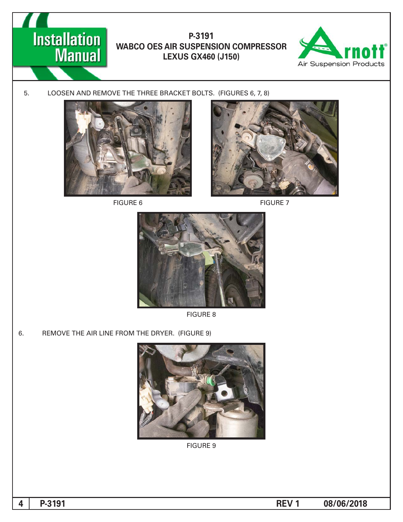



5. LOOSEN AND REMOVE THE THREE BRACKET BOLTS. (FIGURES 6, 7, 8)



**FIGURE 6** 



**FIGURE 7** 



8 FIGURE

6. REMOVE THE AIR LINE FROM THE DRYER. (FIGURE 9)



**FIGURE 9**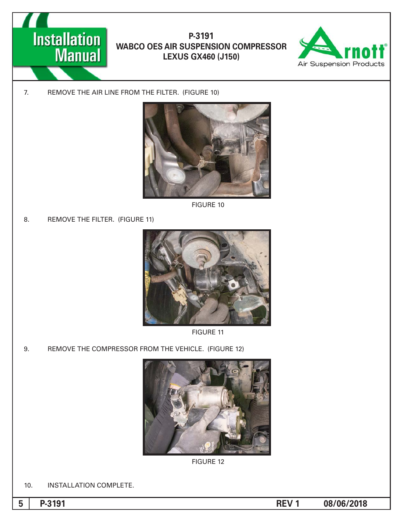



7. REMOVE THE AIR LINE FROM THE FILTER. (FIGURE 10)



**FIGURE 10** 

8. REMOVE THE FILTER. (FIGURE 11)



**FIGURE 11** 

9. REMOVE THE COMPRESSOR FROM THE VEHICLE. (FIGURE 12)



**FIGURE 12** 

10. INSTALLATION COMPLETE.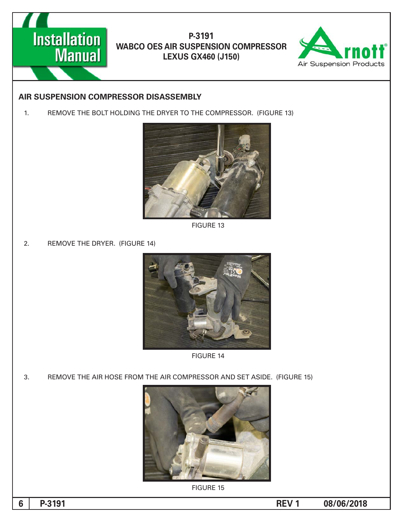



#### **AIR SUSPENSION COMPRESSOR DISASSEMBLY**

1. REMOVE THE BOLT HOLDING THE DRYER TO THE COMPRESSOR. (FIGURE 13)



**FIGURE 13** 

2. REMOVE THE DRYER. (FIGURE 14)



**FIGURE 14** 

3. REMOVE THE AIR HOSE FROM THE AIR COMPRESSOR AND SET ASIDE. (FIGURE 15)



**FIGURE 15**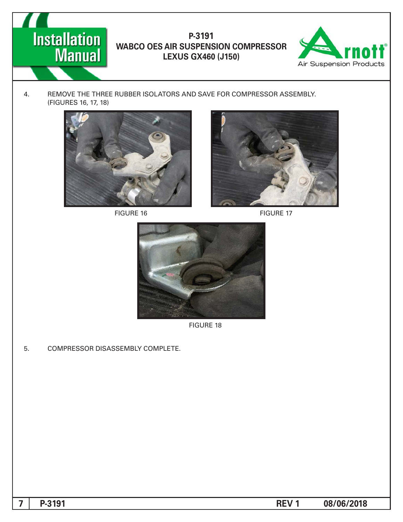



4. REMOVE THE THREE RUBBER ISOLATORS AND SAVE FOR COMPRESSOR ASSEMBLY. (FIGURES 16, 17, 18)





FIGURE 16 FIGURE 17



**FIGURE 18** 

5. COMPRESSOR DISASSEMBLY COMPLETE.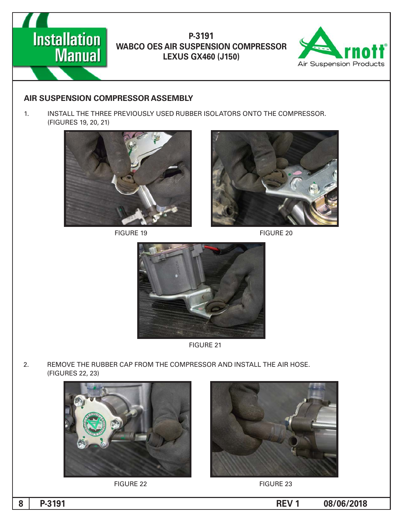



#### **AIR SUSPENSION COMPRESSOR ASSEMBLY**

1. INSTALL THE THREE PREVIOUSLY USED RUBBER ISOLATORS ONTO THE COMPRESSOR. (FIGURES 19, 20, 21)



FIGURE 19 FIGURE 20





**FIGURE 21** 

2. REMOVE THE RUBBER CAP FROM THE COMPRESSOR AND INSTALL THE AIR HOSE. (FIGURES 22, 23)







FIGURE 22 FIGURE 23

**08/06/2018 1 REV -3191P 8**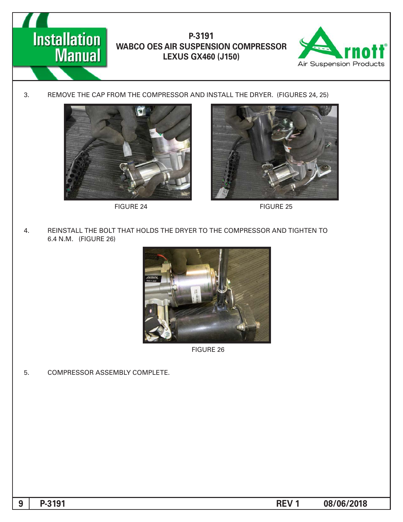



3. REMOVE THE CAP FROM THE COMPRESSOR AND INSTALL THE DRYER. (FIGURES 24, 25)



FIGURE 24 FIGURE 25



4. REINSTALL THE BOLT THAT HOLDS THE DRYER TO THE COMPRESSOR AND TIGHTEN TO 6.4 N.M. (FIGURE 26)



**FIGURE 26** 

5. COMPRESSOR ASSEMBLY COMPLETE.

**08/06/2018** 1 **P-3191**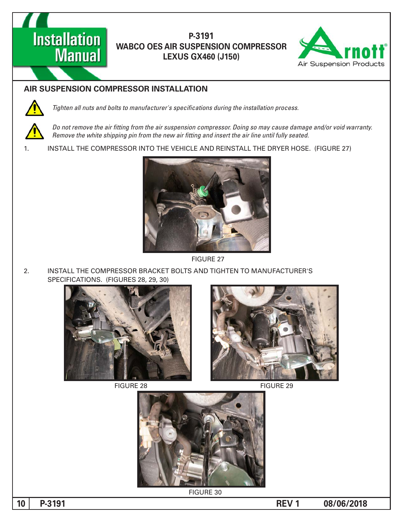



## **AIR SUSPENSION COMPRESSOR INSTALLATION**



Tighten all nuts and bolts to manufacturer's specifications during the installation process.

Do not remove the air fitting from the air suspension compressor. Doing so may cause damage and/or void warranty. *Remove the white shipping pin from the new air fitting and insert the air line until fully seated.* 

1. INSTALL THE COMPRESSOR INTO THE VEHICLE AND REINSTALL THE DRYER HOSE. (FIGURE 27)



**FIGURE 27** 

2. INSTALL THE COMPRESSOR BRACKET BOLTS AND TIGHTEN TO MANUFACTURER'S SPECIFICATIONS. (FIGURES 28, 29, 30)





FIGURE 28 FIGURE 29



**FIGURE 30** 

**10 P**-3191 **P**-3191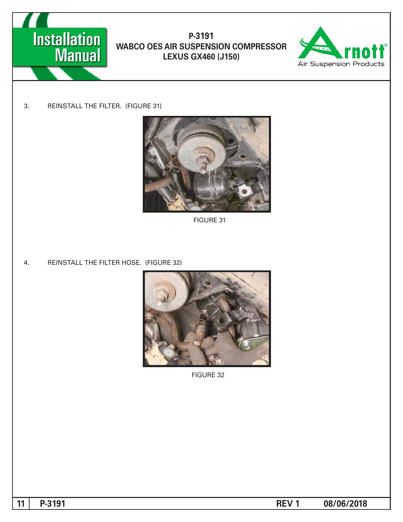



3. REINSTALL THE FILTER. (FIGURE 31)



**FIGURE 31** 

4. REINSTALL THE FILTER HOSE. (FIGURE 32)



**FIGURE 32** 

**11** P-3191 **P-3191**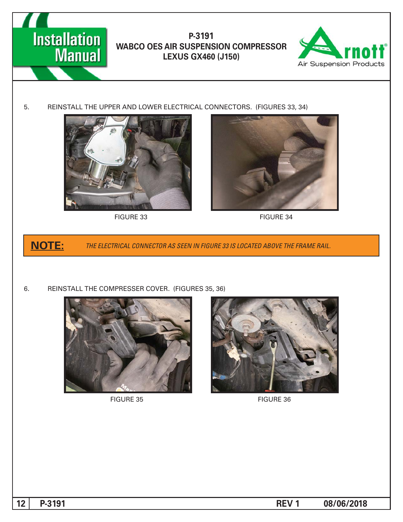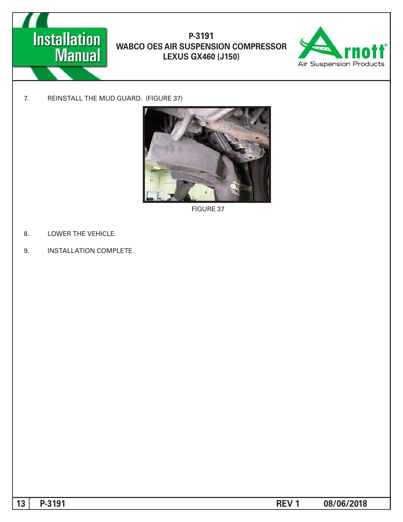



7. REINSTALL THE MUD GUARD. (FIGURE 37)



**FIGURE 37** 

- 8. LOWER THE VEHICLE.
- 9. INSTALLATION COMPLETE.